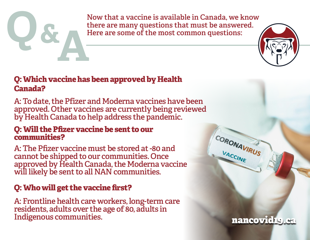Now that a vaccine is available in Canada, we know there are many questions that must be answered.<br>Here are some of the most common questions: there are many questions that must be answered. Here are some of the most common questions: **A &**

#### Q: Which vaccine has been approved by Health Canada?

A:To date, the Pfizer and Moderna vaccines have been approved. Other vaccines are currently being reviewed by Health Canada to help address the pandemic.

#### Q: Will the Pfizer vaccine be sent to our communities?

A: The Pfizer vaccine must be stored at -80 and cannot be shipped to our communities. Once approved by Health Canada, the Moderna vaccine will likely be sent to all NAN communities.

#### Q: Who will get the vaccine first?

A: Frontline health care workers, long-term care residents, adults over the age of 80, adults in Indigenous communities.



CORONAVIRUS

VACCINE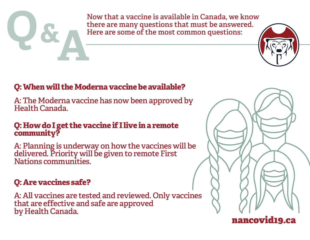

Now that a vaccine is available in Canada, we know there are many questions that must be answered.<br>Here are some of the most common questions: there are many questions that must be answered. Here are some of the most common questions: **A**



## Q: When will the Moderna vaccine be available?

A:The Moderna vaccine has now been approved by Health Canada.

#### Q: How doI get the vaccine if I live in a remote community?

A: Planning is underway on how the vaccines will be delivered. Priority will be given to remote First Nations communities.

# Q: Are vaccines safe?

A: All vaccines are tested and reviewed. Only vaccines that are effective and safe are approved by Health Canada.



# nancovid19.ca